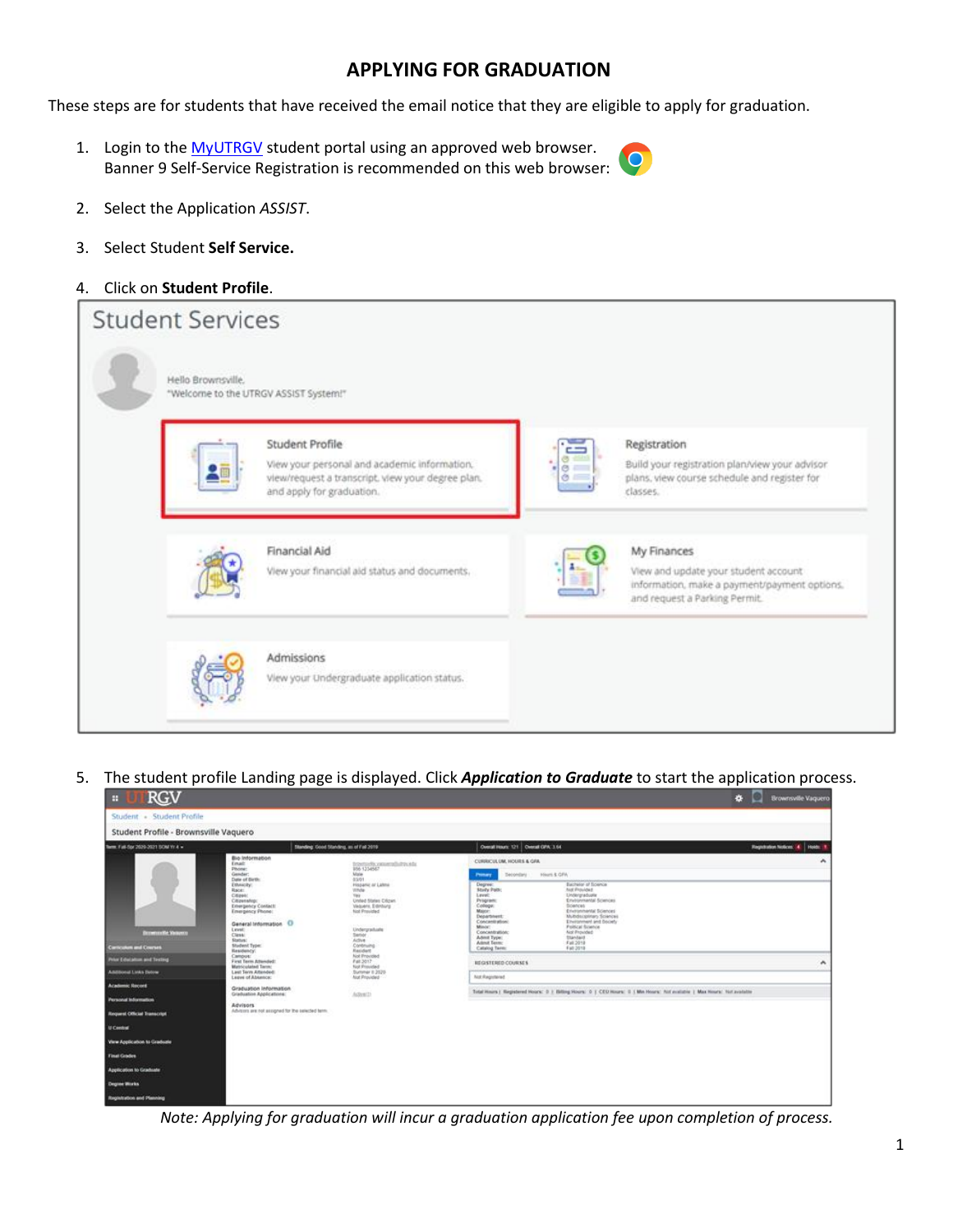## **APPLYING FOR GRADUATION**

These steps are for students that have received the email notice that they are eligible to apply for graduation.

1. Login to the [MyUTRGV](https://my.utrgv.edu/home) student portal using an approved web browser. Banner 9 Self-Service Registration is recommended on this web browser:



- 2. Select the Application *ASSIST*.
- 3. Select Student **Self Service.**
- 4. Click on **Student Profile**.

| <b>Student Services</b> |                                                                                                                                                   |                                                                                                                                      |
|-------------------------|---------------------------------------------------------------------------------------------------------------------------------------------------|--------------------------------------------------------------------------------------------------------------------------------------|
| Hello Brownsville.      | "Welcome to the UTRGV ASSIST System!"                                                                                                             |                                                                                                                                      |
|                         | Student Profile<br>View your personal and academic information.<br>view/request a transcript. view your degree plan.<br>and apply for graduation. | Registration<br>Build your registration plan/view your advisor<br>plans, view course schedule and register for<br>classes.           |
|                         | Financial Aid<br>View your financial aid status and documents.                                                                                    | My Finances<br>View and update your student account<br>information, make a payment/payment options.<br>and request a Parking Permit. |
|                         | Admissions<br>View your Undergraduate application status.                                                                                         |                                                                                                                                      |

5. The student profile Landing page is displayed. Click *Application to Graduate* to start the application process.

| <b>RGV</b><br>m.                                                                                                                                                                                                                                                                                                                                                                        |                                                                                                                                                                                                                                                                                                                                                                                                                                                                                              |                                                                                                                                                                                                                                                                                                                                                                            |                                                                                                                                                                                                                                                                                                                |                                                                                                                                                                                                                                                                                                                                                                                                               | 春<br><b>Brownsville Vaquero</b>         |
|-----------------------------------------------------------------------------------------------------------------------------------------------------------------------------------------------------------------------------------------------------------------------------------------------------------------------------------------------------------------------------------------|----------------------------------------------------------------------------------------------------------------------------------------------------------------------------------------------------------------------------------------------------------------------------------------------------------------------------------------------------------------------------------------------------------------------------------------------------------------------------------------------|----------------------------------------------------------------------------------------------------------------------------------------------------------------------------------------------------------------------------------------------------------------------------------------------------------------------------------------------------------------------------|----------------------------------------------------------------------------------------------------------------------------------------------------------------------------------------------------------------------------------------------------------------------------------------------------------------|---------------------------------------------------------------------------------------------------------------------------------------------------------------------------------------------------------------------------------------------------------------------------------------------------------------------------------------------------------------------------------------------------------------|-----------------------------------------|
| Student - Student Profile                                                                                                                                                                                                                                                                                                                                                               |                                                                                                                                                                                                                                                                                                                                                                                                                                                                                              |                                                                                                                                                                                                                                                                                                                                                                            |                                                                                                                                                                                                                                                                                                                |                                                                                                                                                                                                                                                                                                                                                                                                               |                                         |
| Student Profile - Brownsville Vaquero                                                                                                                                                                                                                                                                                                                                                   |                                                                                                                                                                                                                                                                                                                                                                                                                                                                                              |                                                                                                                                                                                                                                                                                                                                                                            |                                                                                                                                                                                                                                                                                                                |                                                                                                                                                                                                                                                                                                                                                                                                               |                                         |
| Term: Full-Spr 2020-2021 SOM Y/ 4 =                                                                                                                                                                                                                                                                                                                                                     | Standing Good Standing, as of Fall 2019.                                                                                                                                                                                                                                                                                                                                                                                                                                                     |                                                                                                                                                                                                                                                                                                                                                                            | Overall Hours: 121   Overall GPA: 3.64                                                                                                                                                                                                                                                                         |                                                                                                                                                                                                                                                                                                                                                                                                               | <b>Regulation Notices: 4</b><br>Holds I |
| <b>Domestic Re Visitoria</b><br><b>Carriculum and Courses</b><br><b>Prior Education and Testing</b><br><b>Additional Links Scote</b><br><b>Academic Record</b><br>Personal Information<br><b>Request Official Transcript</b><br>U Central<br>View Application to Graduate<br><b>Final Gradies</b><br>Application to Graduate<br><b>Degree Works</b><br><b>Registration and Planning</b> | Bio Information<br>Email:<br>Phóne:<br>Gender:<br>Date of Birth:<br><b>Ethnicity:</b><br>Race:<br>Citizen:<br>Citizenship:<br>Emergency Contact:<br>Emergency Phone:<br>General Information 1<br>Livel:<br>Class:<br>Status:<br>Student Type:<br>Residency:<br>Campus:<br>First Tarm Attended:<br>Matriculated Term:<br>Last Term Attended<br>Leave of Abbence:<br>Graduation Information<br>Graduation Applications:<br><b>Advisors</b><br>Advisors are not assigned for the selected term. | teactority consecutivity, who<br>956 1234567<br>Mate.<br>03/01<br>Hispanic or Labos<br>Vitiche<br>THY.<br><b>Unded States Critics</b><br>Veloers, Edinburg<br>füst Provided<br><b>DOM:</b><br>Lindergraduate<br><b>Serier</b><br>Active.<br>Continuing<br><b>Resident</b><br>Not Provided<br>Fall 2017<br>Not Provided<br>Summer it 2020<br><b>Aid Provided</b><br>Advett- | CURRICULUM, HOURS & GRA<br><b>Decordary</b><br>Primary<br>Degree:<br><b>Study Path</b> :<br>Level:<br><b>Program</b><br>College:<br>Major:<br>Department:<br>Concentration:<br>Minist<br>Concentration:<br>Advert Type:<br><b>Athnit Term:</b><br>Calalog Tarm:<br>REGISTERED COURSES<br><b>McC</b> Registered | Hinami, & GFW<br>Bachelor of Science<br>And Provided<br>Lindenpradualis<br>Environmental Sciences<br>Solances:<br>Environmental Sciences<br>Mutstscolinary Sciences<br>Environment and Bociety<br><b>Foltical fluishin</b><br>Aid Provided<br>Standard<br>Fall 2018<br>Fall 2018<br>Total Hours   Registered Hours: D   Billing Hours: D   CEO Hours: D   Min Hours: Act available   Max Hours: Not available | $\lambda$<br>$\hat{\phantom{a}}$        |

*Note: Applying for graduation will incur a graduation application fee upon completion of process.*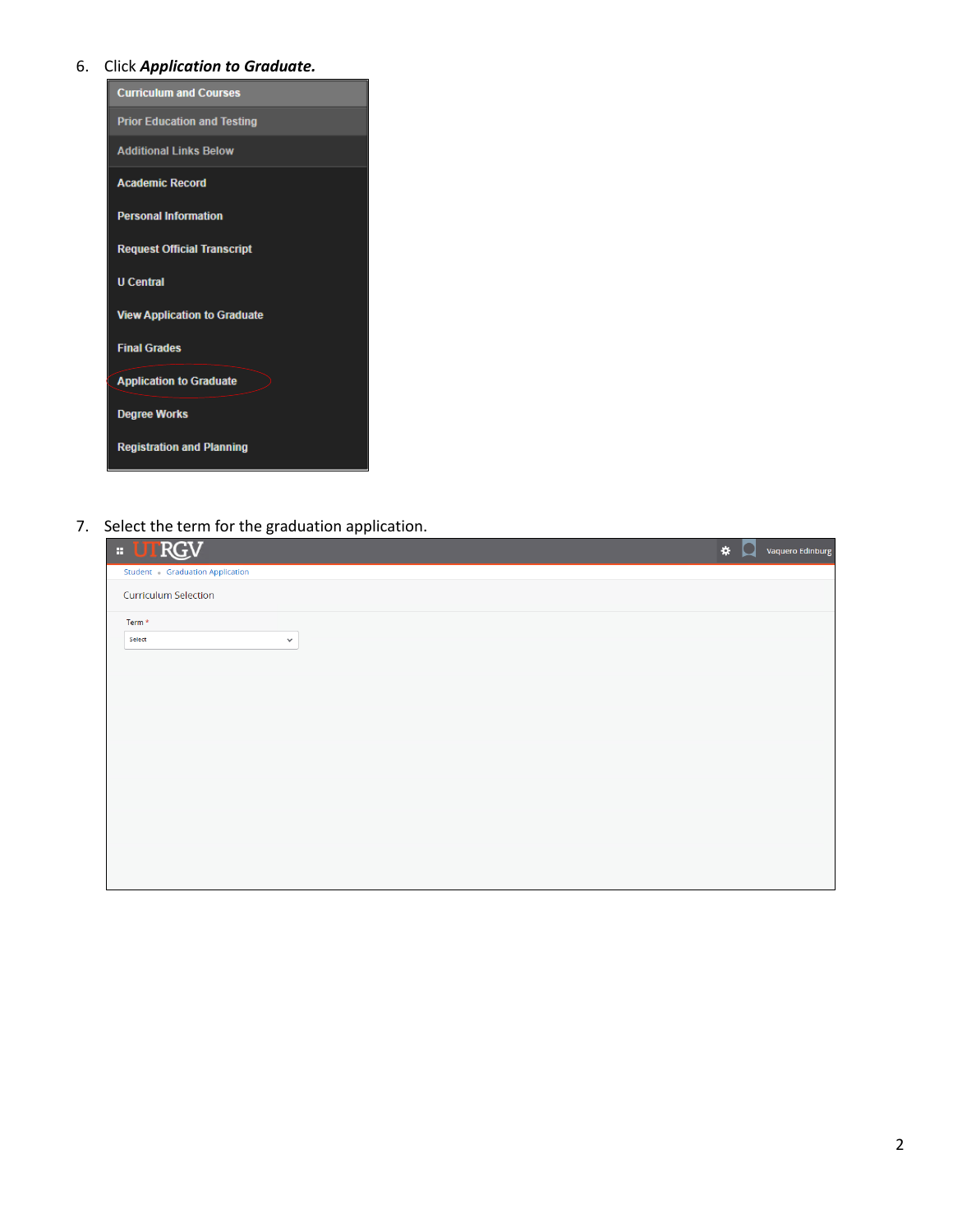### 6. Click *Application to Graduate.*

| <b>Curriculum and Courses</b>       |
|-------------------------------------|
| <b>Prior Education and Testing</b>  |
| <b>Additional Links Below</b>       |
| <b>Academic Record</b>              |
| <b>Personal Information</b>         |
| <b>Request Official Transcript</b>  |
| <b>U</b> Central                    |
| <b>View Application to Graduate</b> |
| <b>Final Grades</b>                 |
| <b>Application to Graduate</b>      |
| <b>Degree Works</b>                 |
| <b>Registration and Planning</b>    |

7. Select the term for the graduation application.

| <b>E UTRGV</b>                 | $\pmb{\ast}$ | $\Box$ | Vaquero Edinburg |
|--------------------------------|--------------|--------|------------------|
| Student Graduation Application |              |        |                  |
| Curriculum Selection           |              |        |                  |
| Term *                         |              |        |                  |
| Select<br>$\checkmark$         |              |        |                  |
|                                |              |        |                  |
|                                |              |        |                  |
|                                |              |        |                  |
|                                |              |        |                  |
|                                |              |        |                  |
|                                |              |        |                  |
|                                |              |        |                  |
|                                |              |        |                  |
|                                |              |        |                  |
|                                |              |        |                  |
|                                |              |        |                  |
|                                |              |        |                  |
|                                |              |        |                  |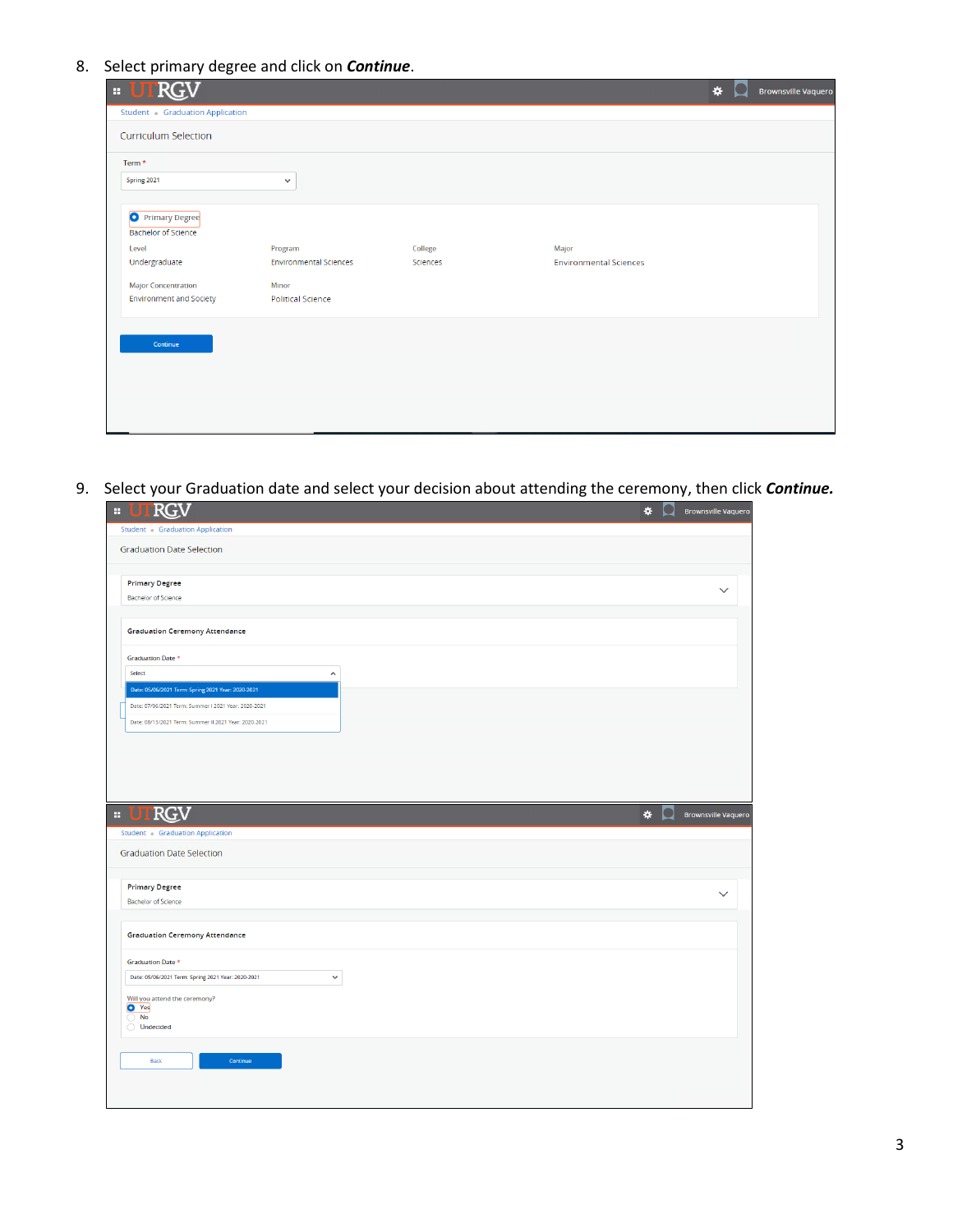8. Select primary degree and click on *Continue*.

| <b>E UTRGV</b>                 |                               |          |                               | * | <b>Brownsville Vaquero</b> |
|--------------------------------|-------------------------------|----------|-------------------------------|---|----------------------------|
| Student Graduation Application |                               |          |                               |   |                            |
| <b>Curriculum Selection</b>    |                               |          |                               |   |                            |
| Term *                         |                               |          |                               |   |                            |
| Spring 2021                    | $\checkmark$                  |          |                               |   |                            |
|                                |                               |          |                               |   |                            |
| <b>O</b> Primary Degree        |                               |          |                               |   |                            |
| <b>Bachelor of Science</b>     |                               |          |                               |   |                            |
| Level                          | Program                       | College  | Major                         |   |                            |
| Undergraduate                  | <b>Environmental Sciences</b> | Sciences | <b>Environmental Sciences</b> |   |                            |
| <b>Major Concentration</b>     | Minor                         |          |                               |   |                            |
| <b>Environment and Society</b> | <b>Political Science</b>      |          |                               |   |                            |
|                                |                               |          |                               |   |                            |
|                                |                               |          |                               |   |                            |
| Continue                       |                               |          |                               |   |                            |
|                                |                               |          |                               |   |                            |
|                                |                               |          |                               |   |                            |
|                                |                               |          |                               |   |                            |
|                                |                               |          |                               |   |                            |
|                                |                               |          |                               |   |                            |

9. Select your Graduation date and select your decision about attending the ceremony, then click *Continue.*

| <b>: UTRGV</b>                                                                                                | $\frac{1}{2}$ | <b>Brownsville Vaquero</b> |
|---------------------------------------------------------------------------------------------------------------|---------------|----------------------------|
| Student Graduation Application                                                                                |               |                            |
| <b>Graduation Date Selection</b>                                                                              |               |                            |
| <b>Primary Degree</b>                                                                                         |               |                            |
| <b>Bachelor of Science</b>                                                                                    |               |                            |
|                                                                                                               |               |                            |
| <b>Graduation Ceremony Attendance</b>                                                                         |               |                            |
| Graduation Date *                                                                                             |               |                            |
| Select<br>$\hat{\phantom{a}}$                                                                                 |               |                            |
| Date: 05/06/2021 Term: Spring 2021 Year: 2020-2021                                                            |               |                            |
| Date: 07/06/2021 Term: Summer I 2021 Year: 2020-2021<br>Date: 08/13/2021 Term: Summer II 2021 Year: 2020-2021 |               |                            |
|                                                                                                               |               |                            |
|                                                                                                               |               |                            |
|                                                                                                               |               |                            |
|                                                                                                               |               |                            |
|                                                                                                               |               |                            |
|                                                                                                               |               |                            |
| <b>RGV</b><br>H.                                                                                              | $\frac{1}{2}$ |                            |
| Student - Graduation Application                                                                              |               |                            |
| <b>Graduation Date Selection</b>                                                                              |               |                            |
|                                                                                                               |               |                            |
| <b>Primary Degree</b>                                                                                         |               | $\checkmark$               |
| <b>Bachelor of Science</b>                                                                                    |               | <b>Brownsville Vaquero</b> |
| <b>Graduation Ceremony Attendance</b>                                                                         |               |                            |
| <b>Graduation Date *</b>                                                                                      |               |                            |
| Date: 05/06/2021 Term: Spring 2021 Year: 2020-2021<br>$\checkmark$                                            |               |                            |
| Will you attend the ceremony?                                                                                 |               |                            |
| <b>O</b> Yes<br><b>No</b><br>∩                                                                                |               |                            |
| $\bigcirc$ Undecided                                                                                          |               |                            |
|                                                                                                               |               |                            |
| Continue<br>Back                                                                                              |               |                            |
|                                                                                                               |               |                            |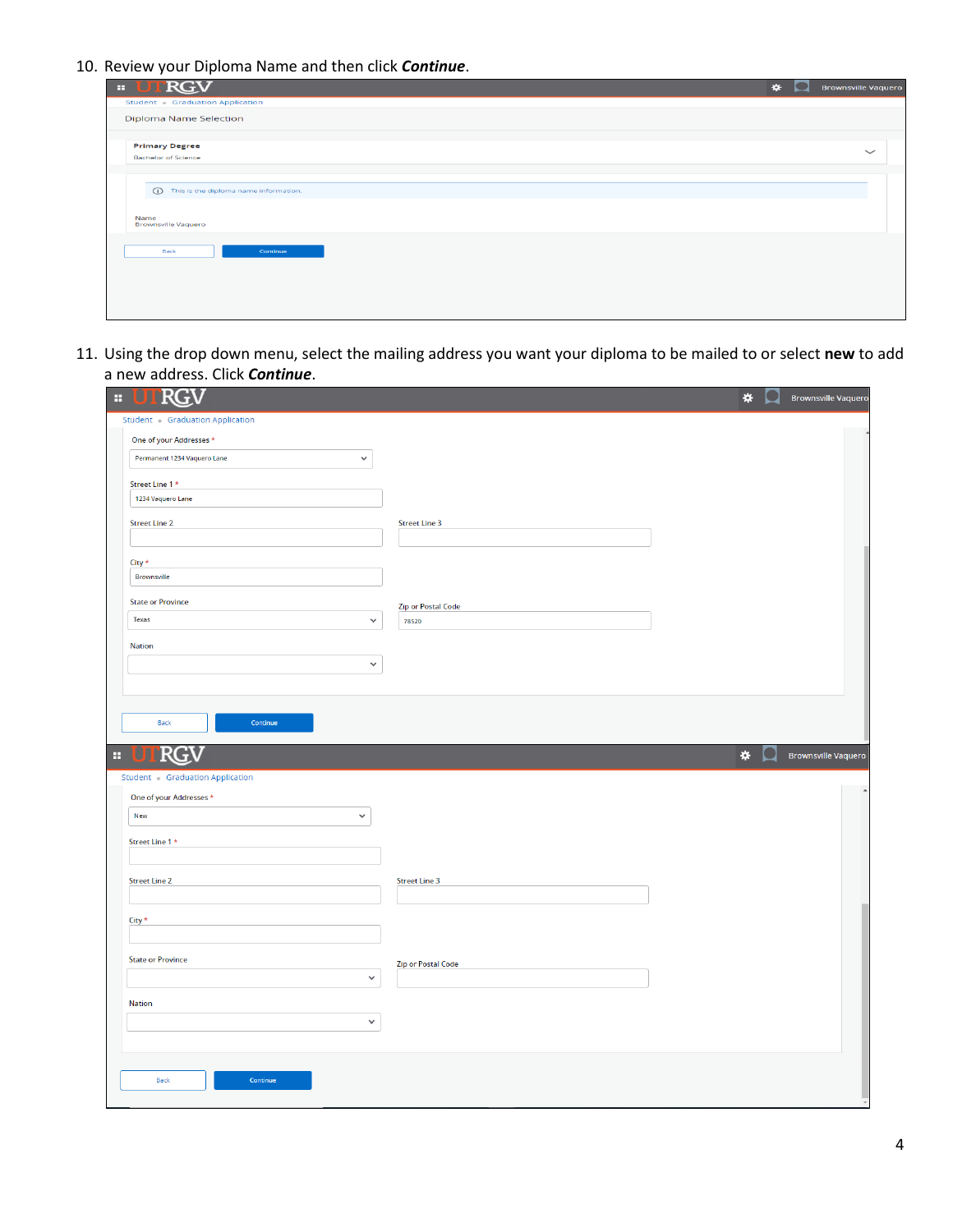10. Review your Diploma Name and then click *Continue*.

| <b>RGV</b><br><b>BB</b>                                                          | $\star$ | $\mathcal{L}$ | <b>Brownsville Vaquero</b> |
|----------------------------------------------------------------------------------|---------|---------------|----------------------------|
| Student - Graduation Application                                                 |         |               |                            |
| <b>Diploma Name Selection</b>                                                    |         |               |                            |
| <b>Primary Degree</b>                                                            |         |               | $\checkmark$               |
| <b>Bachelor of Science</b>                                                       |         |               |                            |
| (ii) This is the diploma name information.<br>Name<br><b>Brownsville Vaquero</b> |         |               |                            |
| Back<br>Continue                                                                 |         |               |                            |
|                                                                                  |         |               |                            |

11. Using the drop down menu, select the mailing address you want your diploma to be mailed to or select **new** to add a new address. Click *Continue*.

| RG<br>a,                                    |                           | * | <b>Brownsville Vaquero</b> |
|---------------------------------------------|---------------------------|---|----------------------------|
| Student Graduation Application              |                           |   |                            |
| One of your Addresses *                     |                           |   |                            |
| Permanent 1234 Vaquero Lane<br>$\checkmark$ |                           |   |                            |
| Street Line 1 *                             |                           |   |                            |
| 1234 Vaquero Lane                           |                           |   |                            |
| <b>Street Line 2</b>                        | <b>Street Line 3</b>      |   |                            |
|                                             |                           |   |                            |
| City *                                      |                           |   |                            |
| <b>Brownsville</b>                          |                           |   |                            |
| <b>State or Province</b>                    | <b>Zip or Postal Code</b> |   |                            |
| Texas<br>$\checkmark$                       | 78520                     |   |                            |
| Nation                                      |                           |   |                            |
| $\checkmark$                                |                           |   |                            |
|                                             |                           |   |                            |
|                                             |                           |   |                            |
| Back<br>Continue                            |                           |   |                            |
|                                             |                           |   |                            |
| RG<br>a,                                    |                           | * | <b>Brownsville Vaquero</b> |
| <b>Student Graduation Application</b>       |                           |   |                            |
| One of your Addresses *                     |                           |   |                            |
| New<br>$\checkmark$                         |                           |   |                            |
| Street Line 1 *                             |                           |   |                            |
|                                             |                           |   |                            |
| <b>Street Line 2</b>                        | <b>Street Line 3</b>      |   |                            |
|                                             |                           |   |                            |
| $City *$                                    |                           |   |                            |
|                                             |                           |   |                            |
| <b>State or Province</b>                    | <b>Zip or Postal Code</b> |   |                            |
|                                             |                           |   |                            |
| $\checkmark$                                |                           |   |                            |
|                                             |                           |   |                            |
| <b>Nation</b>                               |                           |   |                            |
| $\checkmark$                                |                           |   |                            |
|                                             |                           |   |                            |
| Continue<br>Back                            |                           |   |                            |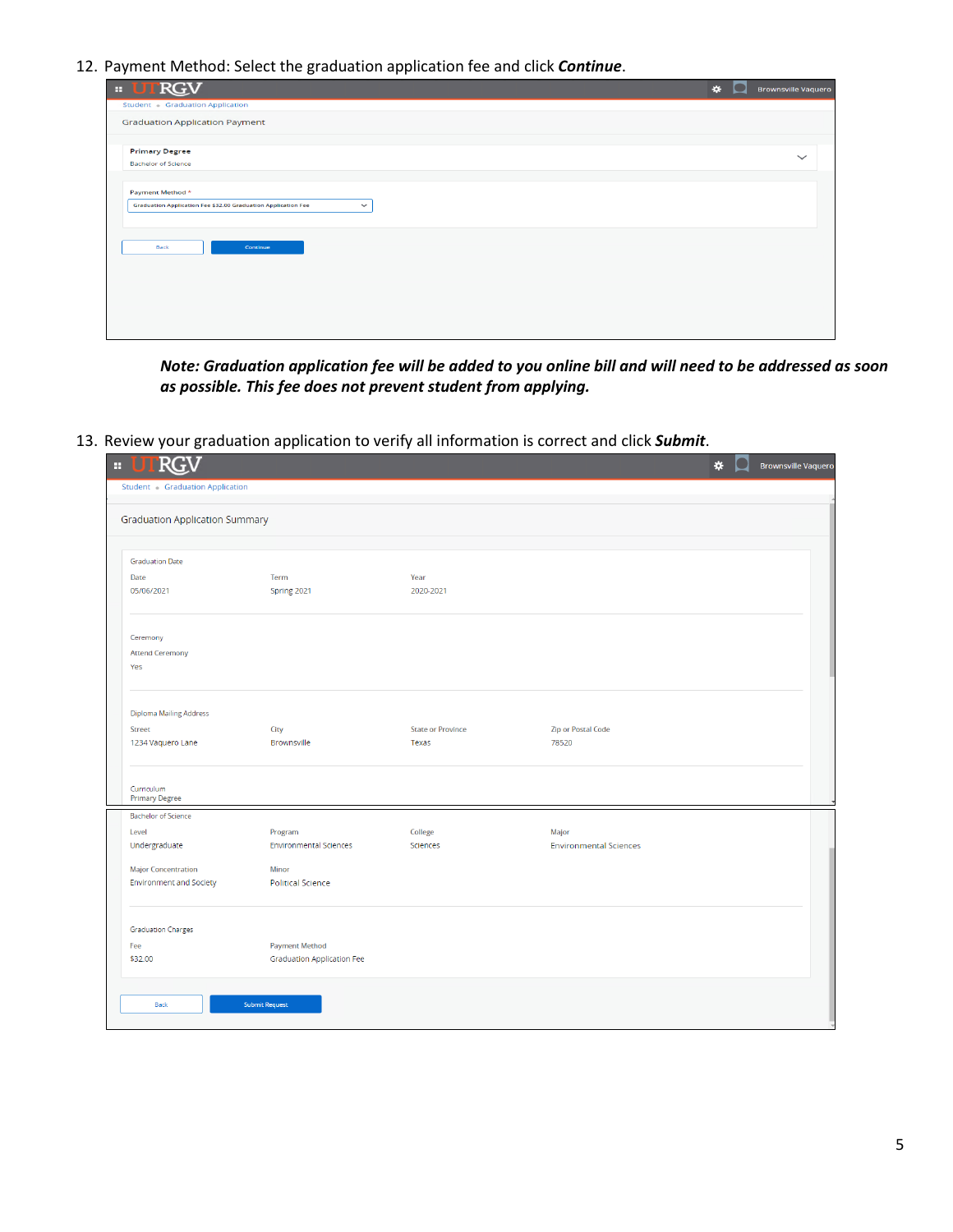12. Payment Method: Select the graduation application fee and click *Continue*.

| . .<br><b>RGV</b><br>m l                                                                          | $\star$<br>o | <b>Brownsville Vaquero</b> |
|---------------------------------------------------------------------------------------------------|--------------|----------------------------|
| Student - Graduation Application                                                                  |              |                            |
| <b>Graduation Application Payment</b>                                                             |              |                            |
| <b>Primary Degree</b>                                                                             |              | $\checkmark$               |
| <b>Bachelor of Science</b>                                                                        |              |                            |
| Payment Method *<br>Graduation Application Fee \$32.00 Graduation Application Fee<br>$\checkmark$ |              |                            |
|                                                                                                   |              |                            |
| Continue<br>Back                                                                                  |              |                            |
|                                                                                                   |              |                            |
|                                                                                                   |              |                            |
|                                                                                                   |              |                            |
|                                                                                                   |              |                            |

*Note: Graduation application fee will be added to you online bill and will need to be addressed as soon as possible. This fee does not prevent student from applying.*

13. Review your graduation application to verify all information is correct and click *Submit*.

| <b>RGV</b>                                                        |                                   |                          |                               | * | <b>Brownsville Vaquero</b> |
|-------------------------------------------------------------------|-----------------------------------|--------------------------|-------------------------------|---|----------------------------|
| Student · Graduation Application                                  |                                   |                          |                               |   |                            |
| <b>Graduation Application Summary</b>                             |                                   |                          |                               |   |                            |
| <b>Graduation Date</b>                                            |                                   |                          |                               |   |                            |
| Date                                                              | Term                              | Year                     |                               |   |                            |
| 05/06/2021                                                        | Spring 2021                       | 2020-2021                |                               |   |                            |
| Ceremony                                                          |                                   |                          |                               |   |                            |
| <b>Attend Ceremony</b>                                            |                                   |                          |                               |   |                            |
| Yes                                                               |                                   |                          |                               |   |                            |
|                                                                   |                                   |                          |                               |   |                            |
| <b>Diploma Mailing Address</b>                                    |                                   |                          |                               |   |                            |
| Street                                                            | City                              | <b>State or Province</b> | <b>Zip or Postal Code</b>     |   |                            |
| 1234 Vaquero Lane                                                 | <b>Brownsville</b>                | Texas                    | 78520                         |   |                            |
| Curriculum<br><b>Primary Degree</b><br><b>Bachelor of Science</b> |                                   |                          |                               |   |                            |
| Level                                                             | Program                           | College                  | Major                         |   |                            |
| Undergraduate                                                     | <b>Environmental Sciences</b>     | Sciences                 | <b>Environmental Sciences</b> |   |                            |
|                                                                   |                                   |                          |                               |   |                            |
| <b>Major Concentration</b><br><b>Environment and Society</b>      | Minor<br><b>Political Science</b> |                          |                               |   |                            |
|                                                                   |                                   |                          |                               |   |                            |
|                                                                   |                                   |                          |                               |   |                            |
|                                                                   |                                   |                          |                               |   |                            |
| <b>Graduation Charges</b><br>Fee                                  | <b>Payment Method</b>             |                          |                               |   |                            |